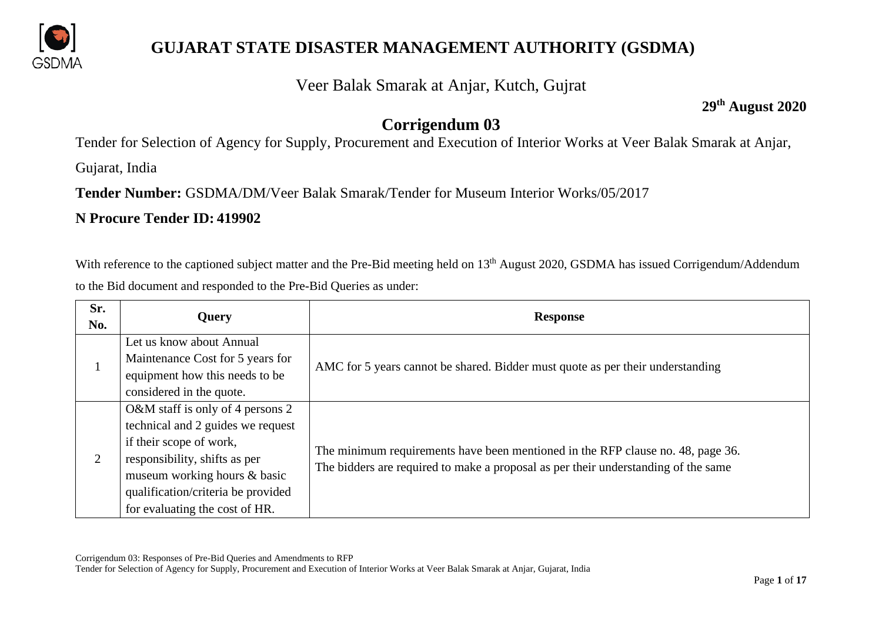

#### Veer Balak Smarak at Anjar, Kutch, Gujrat

**29th August 2020**

#### **Corrigendum 03**

Tender for Selection of Agency for Supply, Procurement and Execution of Interior Works at Veer Balak Smarak at Anjar,

Gujarat, India

**Tender Number:** GSDMA/DM/Veer Balak Smarak/Tender for Museum Interior Works/05/2017

#### **N Procure Tender ID: 419902**

With reference to the captioned subject matter and the Pre-Bid meeting held on 13<sup>th</sup> August 2020, GSDMA has issued Corrigendum/Addendum to the Bid document and responded to the Pre-Bid Queries as under:

| Sr.<br>No. | Query                                                                                                                                                                                                                                     | <b>Response</b>                                                                                                                                                       |
|------------|-------------------------------------------------------------------------------------------------------------------------------------------------------------------------------------------------------------------------------------------|-----------------------------------------------------------------------------------------------------------------------------------------------------------------------|
|            | Let us know about Annual<br>Maintenance Cost for 5 years for<br>equipment how this needs to be<br>considered in the quote.                                                                                                                | AMC for 5 years cannot be shared. Bidder must quote as per their understanding                                                                                        |
| 2          | O&M staff is only of 4 persons 2<br>technical and 2 guides we request<br>if their scope of work,<br>responsibility, shifts as per<br>museum working hours & basic<br>qualification/criteria be provided<br>for evaluating the cost of HR. | The minimum requirements have been mentioned in the RFP clause no. 48, page 36.<br>The bidders are required to make a proposal as per their understanding of the same |

Corrigendum 03: Responses of Pre-Bid Queries and Amendments to RFP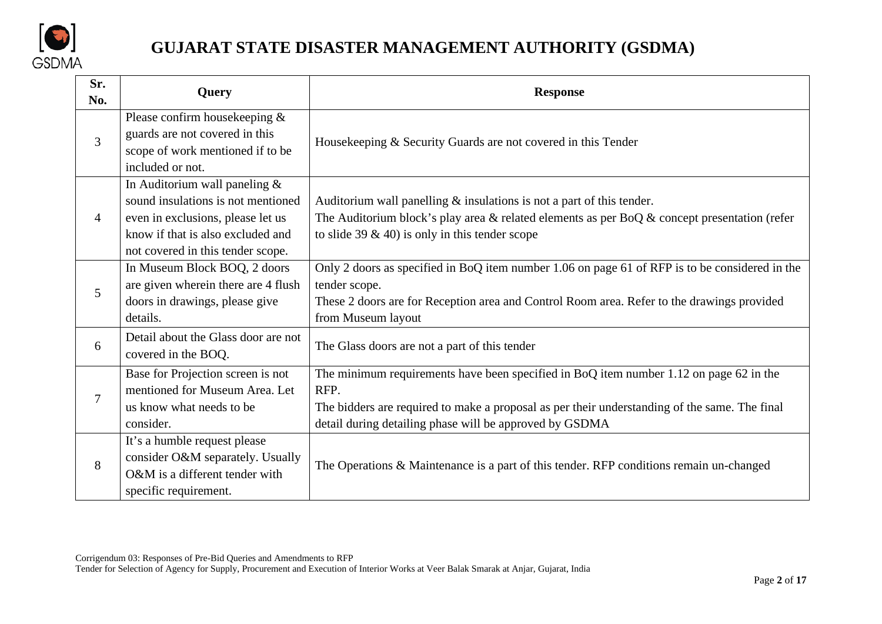

| Sr.<br>No.     | Query                                                                                                                                                                              | <b>Response</b>                                                                                                                                                                                                                                                                                  |  |
|----------------|------------------------------------------------------------------------------------------------------------------------------------------------------------------------------------|--------------------------------------------------------------------------------------------------------------------------------------------------------------------------------------------------------------------------------------------------------------------------------------------------|--|
| $\overline{3}$ | Please confirm housekeeping $\&$<br>guards are not covered in this<br>scope of work mentioned if to be<br>included or not.                                                         | Housekeeping & Security Guards are not covered in this Tender<br>Auditorium wall panelling $&$ insulations is not a part of this tender.<br>The Auditorium block's play area & related elements as per BoQ $\&$ concept presentation (refer<br>to slide 39 $\&$ 40) is only in this tender scope |  |
| $\overline{4}$ | In Auditorium wall paneling &<br>sound insulations is not mentioned<br>even in exclusions, please let us<br>know if that is also excluded and<br>not covered in this tender scope. |                                                                                                                                                                                                                                                                                                  |  |
| 5              | In Museum Block BOQ, 2 doors<br>are given wherein there are 4 flush<br>doors in drawings, please give<br>details.                                                                  | Only 2 doors as specified in BoQ item number 1.06 on page 61 of RFP is to be considered in the<br>tender scope.<br>These 2 doors are for Reception area and Control Room area. Refer to the drawings provided<br>from Museum layout                                                              |  |
| 6              | Detail about the Glass door are not<br>covered in the BOQ.                                                                                                                         | The Glass doors are not a part of this tender                                                                                                                                                                                                                                                    |  |
| 7              | Base for Projection screen is not<br>mentioned for Museum Area. Let<br>us know what needs to be<br>consider.                                                                       | The minimum requirements have been specified in BoQ item number 1.12 on page $62$ in the<br>RFP.<br>The bidders are required to make a proposal as per their understanding of the same. The final<br>detail during detailing phase will be approved by GSDMA                                     |  |
| 8              | It's a humble request please<br>consider O&M separately. Usually<br>O&M is a different tender with<br>specific requirement.                                                        | The Operations & Maintenance is a part of this tender. RFP conditions remain un-changed                                                                                                                                                                                                          |  |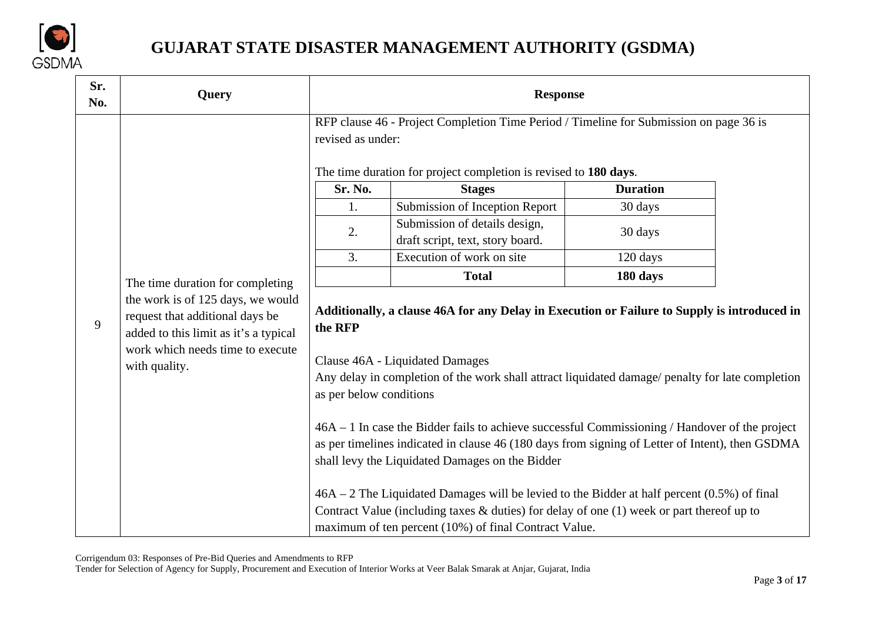

| Sr.<br>No. | <b>Query</b>                                                                                                                                                       |                         | <b>Response</b>                                                                                                                                                                                                                                                                                                                                                                                                                                                                                                                                                                                                      |                 |  |
|------------|--------------------------------------------------------------------------------------------------------------------------------------------------------------------|-------------------------|----------------------------------------------------------------------------------------------------------------------------------------------------------------------------------------------------------------------------------------------------------------------------------------------------------------------------------------------------------------------------------------------------------------------------------------------------------------------------------------------------------------------------------------------------------------------------------------------------------------------|-----------------|--|
|            |                                                                                                                                                                    | revised as under:       | RFP clause 46 - Project Completion Time Period / Timeline for Submission on page 36 is<br>The time duration for project completion is revised to 180 days.                                                                                                                                                                                                                                                                                                                                                                                                                                                           |                 |  |
|            |                                                                                                                                                                    | Sr. No.                 | <b>Stages</b>                                                                                                                                                                                                                                                                                                                                                                                                                                                                                                                                                                                                        | <b>Duration</b> |  |
|            |                                                                                                                                                                    | 1.                      | Submission of Inception Report                                                                                                                                                                                                                                                                                                                                                                                                                                                                                                                                                                                       | 30 days         |  |
|            |                                                                                                                                                                    | 2.                      | Submission of details design,<br>draft script, text, story board.                                                                                                                                                                                                                                                                                                                                                                                                                                                                                                                                                    | 30 days         |  |
|            |                                                                                                                                                                    | 3.                      | Execution of work on site                                                                                                                                                                                                                                                                                                                                                                                                                                                                                                                                                                                            | 120 days        |  |
|            | The time duration for completing                                                                                                                                   |                         | <b>Total</b>                                                                                                                                                                                                                                                                                                                                                                                                                                                                                                                                                                                                         | 180 days        |  |
| 9          | the work is of 125 days, we would<br>request that additional days be<br>added to this limit as it's a typical<br>work which needs time to execute<br>with quality. | the RFP                 | Additionally, a clause 46A for any Delay in Execution or Failure to Supply is introduced in<br>Clause 46A - Liquidated Damages                                                                                                                                                                                                                                                                                                                                                                                                                                                                                       |                 |  |
|            |                                                                                                                                                                    | as per below conditions | Any delay in completion of the work shall attract liquidated damage/ penalty for late completion<br>$46A - 1$ In case the Bidder fails to achieve successful Commissioning / Handover of the project<br>as per timelines indicated in clause 46 (180 days from signing of Letter of Intent), then GSDMA<br>shall levy the Liquidated Damages on the Bidder<br>$46A - 2$ The Liquidated Damages will be levied to the Bidder at half percent (0.5%) of final<br>Contract Value (including taxes $\&$ duties) for delay of one (1) week or part thereof up to<br>maximum of ten percent (10%) of final Contract Value. |                 |  |

Corrigendum 03: Responses of Pre-Bid Queries and Amendments to RFP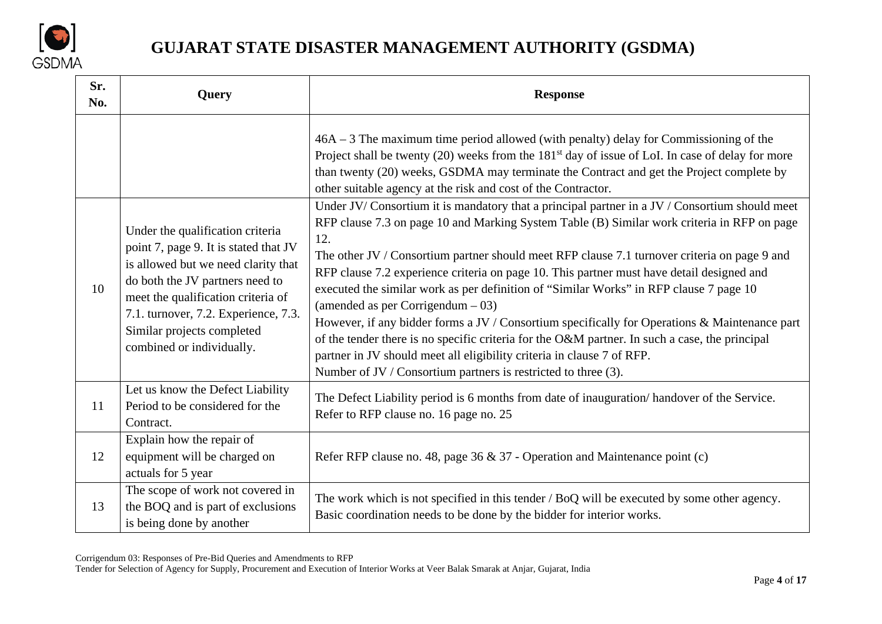

| Sr.<br>No. | Query                                                                                                                                                                                                                                                    | <b>Response</b>                                                                                                                                                                                                                                                                                                                                                                                                                                                                                                                                                                                                                                                                  |
|------------|----------------------------------------------------------------------------------------------------------------------------------------------------------------------------------------------------------------------------------------------------------|----------------------------------------------------------------------------------------------------------------------------------------------------------------------------------------------------------------------------------------------------------------------------------------------------------------------------------------------------------------------------------------------------------------------------------------------------------------------------------------------------------------------------------------------------------------------------------------------------------------------------------------------------------------------------------|
|            | Under the qualification criteria                                                                                                                                                                                                                         | $46A - 3$ The maximum time period allowed (with penalty) delay for Commissioning of the<br>Project shall be twenty (20) weeks from the 181 <sup>st</sup> day of issue of LoI. In case of delay for more<br>than twenty (20) weeks, GSDMA may terminate the Contract and get the Project complete by<br>other suitable agency at the risk and cost of the Contractor.<br>Under JV/Consortium it is mandatory that a principal partner in a JV / Consortium should meet<br>RFP clause 7.3 on page 10 and Marking System Table (B) Similar work criteria in RFP on page                                                                                                             |
| 10         | point 7, page 9. It is stated that JV<br>is allowed but we need clarity that<br>do both the JV partners need to<br>meet the qualification criteria of<br>7.1. turnover, 7.2. Experience, 7.3.<br>Similar projects completed<br>combined or individually. | 12.<br>The other JV / Consortium partner should meet RFP clause 7.1 turnover criteria on page 9 and<br>RFP clause 7.2 experience criteria on page 10. This partner must have detail designed and<br>executed the similar work as per definition of "Similar Works" in RFP clause 7 page 10<br>(amended as per Corrigendum $-03$ )<br>However, if any bidder forms a JV / Consortium specifically for Operations & Maintenance part<br>of the tender there is no specific criteria for the O&M partner. In such a case, the principal<br>partner in JV should meet all eligibility criteria in clause 7 of RFP.<br>Number of JV / Consortium partners is restricted to three (3). |
| 11         | Let us know the Defect Liability<br>Period to be considered for the<br>Contract.                                                                                                                                                                         | The Defect Liability period is 6 months from date of inauguration/handover of the Service.<br>Refer to RFP clause no. 16 page no. 25                                                                                                                                                                                                                                                                                                                                                                                                                                                                                                                                             |
| 12         | Explain how the repair of<br>equipment will be charged on<br>actuals for 5 year                                                                                                                                                                          | Refer RFP clause no. 48, page 36 $\&$ 37 - Operation and Maintenance point (c)                                                                                                                                                                                                                                                                                                                                                                                                                                                                                                                                                                                                   |
| 13         | The scope of work not covered in<br>the BOQ and is part of exclusions<br>is being done by another                                                                                                                                                        | The work which is not specified in this tender / BoQ will be executed by some other agency.<br>Basic coordination needs to be done by the bidder for interior works.                                                                                                                                                                                                                                                                                                                                                                                                                                                                                                             |

Corrigendum 03: Responses of Pre-Bid Queries and Amendments to RFP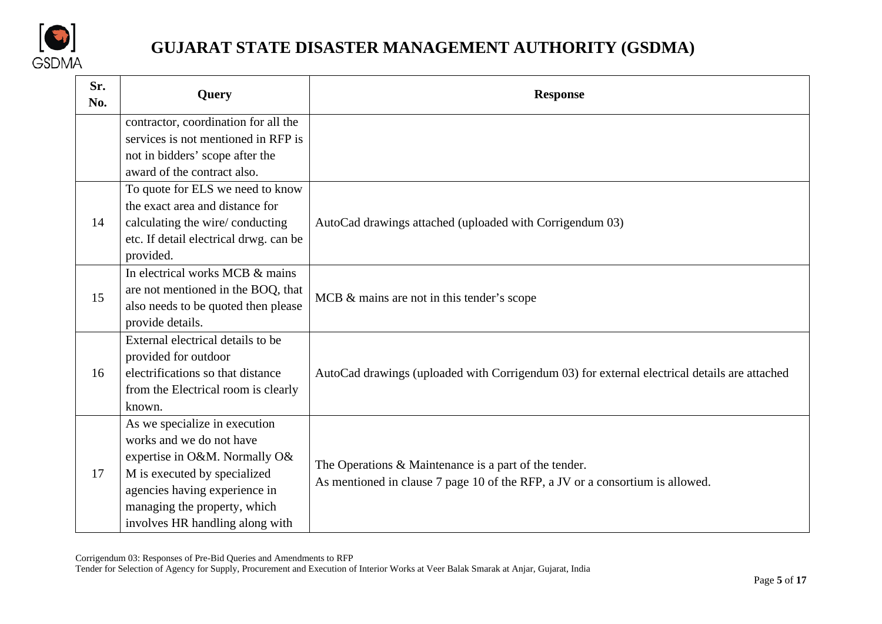

| Sr.<br>No. | Query                                  | <b>Response</b>                                                                              |
|------------|----------------------------------------|----------------------------------------------------------------------------------------------|
|            | contractor, coordination for all the   |                                                                                              |
|            | services is not mentioned in RFP is    |                                                                                              |
|            | not in bidders' scope after the        |                                                                                              |
|            | award of the contract also.            |                                                                                              |
|            | To quote for ELS we need to know       |                                                                                              |
|            | the exact area and distance for        |                                                                                              |
| 14         | calculating the wire/conducting        | AutoCad drawings attached (uploaded with Corrigendum 03)                                     |
|            | etc. If detail electrical drwg. can be |                                                                                              |
|            | provided.                              |                                                                                              |
|            | In electrical works MCB & mains        |                                                                                              |
| 15         | are not mentioned in the BOQ, that     | MCB & mains are not in this tender's scope                                                   |
|            | also needs to be quoted then please    |                                                                                              |
|            | provide details.                       |                                                                                              |
|            | External electrical details to be      |                                                                                              |
|            | provided for outdoor                   |                                                                                              |
| 16         | electrifications so that distance      | AutoCad drawings (uploaded with Corrigendum 03) for external electrical details are attached |
|            | from the Electrical room is clearly    |                                                                                              |
|            | known.                                 |                                                                                              |
|            | As we specialize in execution          |                                                                                              |
|            | works and we do not have               |                                                                                              |
|            | expertise in O&M. Normally O&          | The Operations & Maintenance is a part of the tender.                                        |
| 17         | M is executed by specialized           | As mentioned in clause 7 page 10 of the RFP, a JV or a consortium is allowed.                |
|            | agencies having experience in          |                                                                                              |
|            | managing the property, which           |                                                                                              |
|            | involves HR handling along with        |                                                                                              |

Corrigendum 03: Responses of Pre-Bid Queries and Amendments to RFP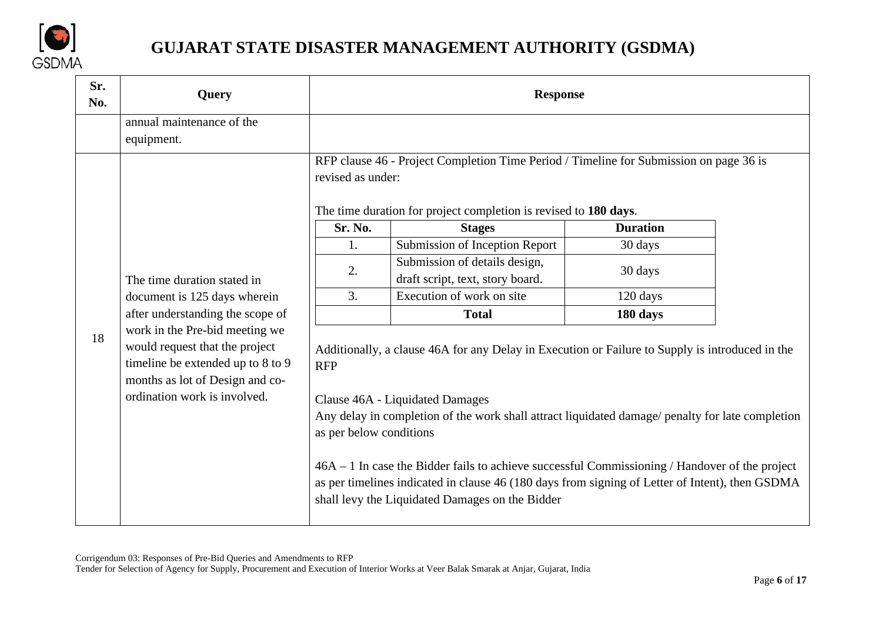

| Sr.<br>No. | <b>Query</b>                                                                                                                                                                                                 |                                                                                                                                                                                 | <b>Response</b>                                                                                                                                                                                                                                                                                                                                                                                                                                                                                  |                 |  |
|------------|--------------------------------------------------------------------------------------------------------------------------------------------------------------------------------------------------------------|---------------------------------------------------------------------------------------------------------------------------------------------------------------------------------|--------------------------------------------------------------------------------------------------------------------------------------------------------------------------------------------------------------------------------------------------------------------------------------------------------------------------------------------------------------------------------------------------------------------------------------------------------------------------------------------------|-----------------|--|
|            | annual maintenance of the<br>equipment.                                                                                                                                                                      |                                                                                                                                                                                 |                                                                                                                                                                                                                                                                                                                                                                                                                                                                                                  |                 |  |
|            |                                                                                                                                                                                                              | RFP clause 46 - Project Completion Time Period / Timeline for Submission on page 36 is<br>revised as under:<br>The time duration for project completion is revised to 180 days. |                                                                                                                                                                                                                                                                                                                                                                                                                                                                                                  |                 |  |
|            |                                                                                                                                                                                                              | Sr. No.                                                                                                                                                                         | <b>Stages</b>                                                                                                                                                                                                                                                                                                                                                                                                                                                                                    | <b>Duration</b> |  |
|            |                                                                                                                                                                                                              | 1.                                                                                                                                                                              | Submission of Inception Report                                                                                                                                                                                                                                                                                                                                                                                                                                                                   | 30 days         |  |
|            | The time duration stated in                                                                                                                                                                                  | 2.                                                                                                                                                                              | Submission of details design,<br>draft script, text, story board.                                                                                                                                                                                                                                                                                                                                                                                                                                | 30 days         |  |
|            | document is 125 days wherein                                                                                                                                                                                 | 3.                                                                                                                                                                              | Execution of work on site                                                                                                                                                                                                                                                                                                                                                                                                                                                                        | 120 days        |  |
|            | after understanding the scope of<br>work in the Pre-bid meeting we<br>would request that the project<br>timeline be extended up to 8 to 9<br>months as lot of Design and co-<br>ordination work is involved. |                                                                                                                                                                                 | <b>Total</b>                                                                                                                                                                                                                                                                                                                                                                                                                                                                                     | 180 days        |  |
| 18         |                                                                                                                                                                                                              | <b>RFP</b><br>as per below conditions                                                                                                                                           | Additionally, a clause 46A for any Delay in Execution or Failure to Supply is introduced in the<br>Clause 46A - Liquidated Damages<br>Any delay in completion of the work shall attract liquidated damage/ penalty for late completion<br>$46A - 1$ In case the Bidder fails to achieve successful Commissioning / Handover of the project<br>as per timelines indicated in clause 46 (180 days from signing of Letter of Intent), then GSDMA<br>shall levy the Liquidated Damages on the Bidder |                 |  |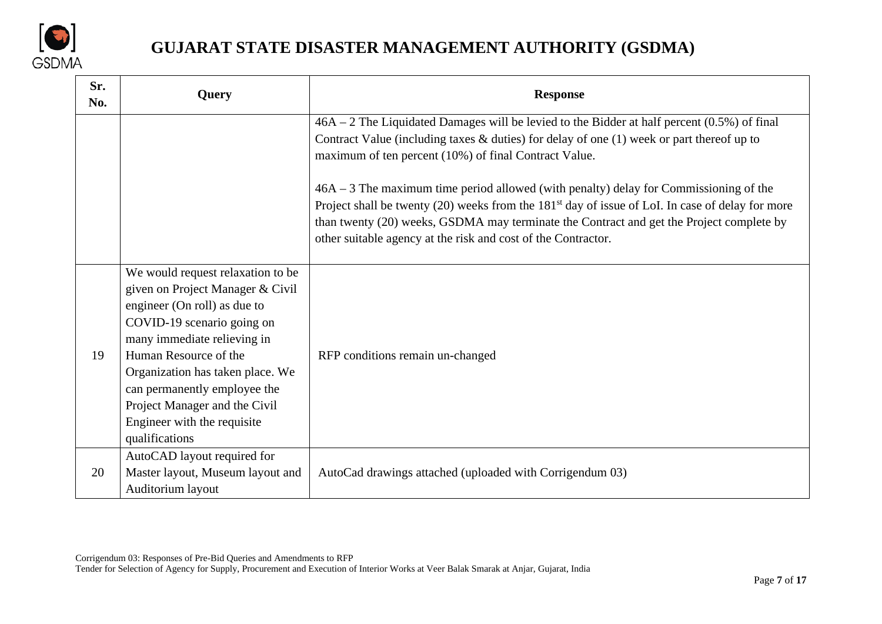

| Sr.<br>No. | <b>Query</b>                                                                                                                                                                                                                                                                                                                                      | <b>Response</b>                                                                                                                                                                                                                                                                                                                                                      |
|------------|---------------------------------------------------------------------------------------------------------------------------------------------------------------------------------------------------------------------------------------------------------------------------------------------------------------------------------------------------|----------------------------------------------------------------------------------------------------------------------------------------------------------------------------------------------------------------------------------------------------------------------------------------------------------------------------------------------------------------------|
|            |                                                                                                                                                                                                                                                                                                                                                   | $46A - 2$ The Liquidated Damages will be levied to the Bidder at half percent (0.5%) of final<br>Contract Value (including taxes $\&$ duties) for delay of one (1) week or part thereof up to<br>maximum of ten percent (10%) of final Contract Value.                                                                                                               |
|            |                                                                                                                                                                                                                                                                                                                                                   | $46A - 3$ The maximum time period allowed (with penalty) delay for Commissioning of the<br>Project shall be twenty (20) weeks from the 181 <sup>st</sup> day of issue of LoI. In case of delay for more<br>than twenty (20) weeks, GSDMA may terminate the Contract and get the Project complete by<br>other suitable agency at the risk and cost of the Contractor. |
| 19         | We would request relaxation to be<br>given on Project Manager & Civil<br>engineer (On roll) as due to<br>COVID-19 scenario going on<br>many immediate relieving in<br>Human Resource of the<br>Organization has taken place. We<br>can permanently employee the<br>Project Manager and the Civil<br>Engineer with the requisite<br>qualifications | RFP conditions remain un-changed                                                                                                                                                                                                                                                                                                                                     |
| 20         | AutoCAD layout required for<br>Master layout, Museum layout and<br>Auditorium layout                                                                                                                                                                                                                                                              | AutoCad drawings attached (uploaded with Corrigendum 03)                                                                                                                                                                                                                                                                                                             |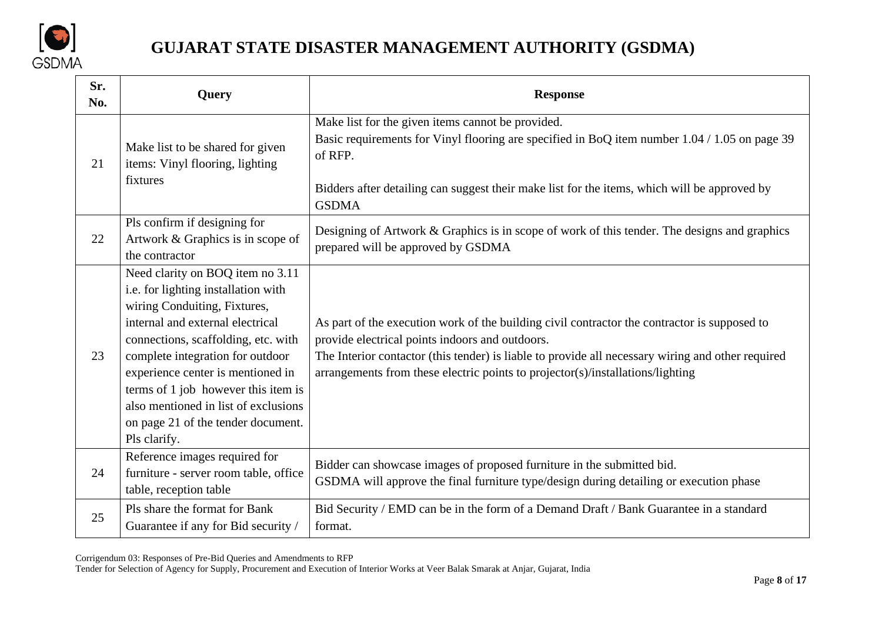

| Sr.<br>No. | <b>Query</b>                                                                                                                                                                                                                                                                                                                                                                                     | <b>Response</b>                                                                                                                                                                                                                                                                                                                        |
|------------|--------------------------------------------------------------------------------------------------------------------------------------------------------------------------------------------------------------------------------------------------------------------------------------------------------------------------------------------------------------------------------------------------|----------------------------------------------------------------------------------------------------------------------------------------------------------------------------------------------------------------------------------------------------------------------------------------------------------------------------------------|
| 21         | Make list to be shared for given<br>items: Vinyl flooring, lighting<br>fixtures                                                                                                                                                                                                                                                                                                                  | Make list for the given items cannot be provided.<br>Basic requirements for Vinyl flooring are specified in BoQ item number 1.04 / 1.05 on page 39<br>of RFP.<br>Bidders after detailing can suggest their make list for the items, which will be approved by<br><b>GSDMA</b>                                                          |
| 22         | Pls confirm if designing for<br>Artwork & Graphics is in scope of<br>the contractor                                                                                                                                                                                                                                                                                                              | Designing of Artwork & Graphics is in scope of work of this tender. The designs and graphics<br>prepared will be approved by GSDMA                                                                                                                                                                                                     |
| 23         | Need clarity on BOQ item no 3.11<br>i.e. for lighting installation with<br>wiring Conduiting, Fixtures,<br>internal and external electrical<br>connections, scaffolding, etc. with<br>complete integration for outdoor<br>experience center is mentioned in<br>terms of 1 job however this item is<br>also mentioned in list of exclusions<br>on page 21 of the tender document.<br>Pls clarify. | As part of the execution work of the building civil contractor the contractor is supposed to<br>provide electrical points indoors and outdoors.<br>The Interior contactor (this tender) is liable to provide all necessary wiring and other required<br>arrangements from these electric points to projector(s)/installations/lighting |
| 24         | Reference images required for<br>furniture - server room table, office<br>table, reception table                                                                                                                                                                                                                                                                                                 | Bidder can showcase images of proposed furniture in the submitted bid.<br>GSDMA will approve the final furniture type/design during detailing or execution phase                                                                                                                                                                       |
| 25         | Pls share the format for Bank<br>Guarantee if any for Bid security /                                                                                                                                                                                                                                                                                                                             | Bid Security / EMD can be in the form of a Demand Draft / Bank Guarantee in a standard<br>format.                                                                                                                                                                                                                                      |

Corrigendum 03: Responses of Pre-Bid Queries and Amendments to RFP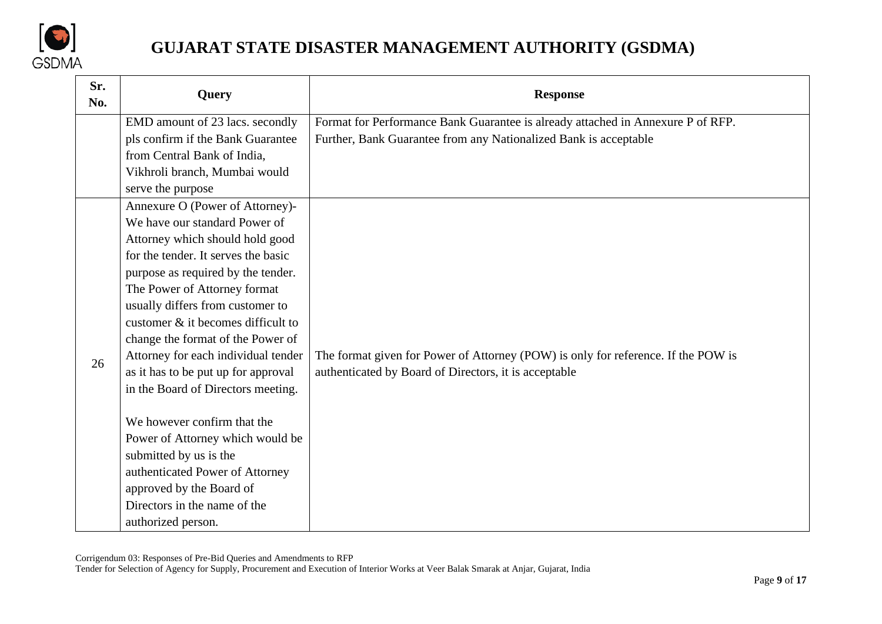

| Sr.<br>No. | <b>Query</b>                                             | <b>Response</b>                                                                   |
|------------|----------------------------------------------------------|-----------------------------------------------------------------------------------|
|            | EMD amount of 23 lacs. secondly                          | Format for Performance Bank Guarantee is already attached in Annexure P of RFP.   |
|            | pls confirm if the Bank Guarantee                        | Further, Bank Guarantee from any Nationalized Bank is acceptable                  |
|            | from Central Bank of India,                              |                                                                                   |
|            | Vikhroli branch, Mumbai would                            |                                                                                   |
|            | serve the purpose                                        |                                                                                   |
|            | Annexure O (Power of Attorney)-                          |                                                                                   |
|            | We have our standard Power of                            |                                                                                   |
|            | Attorney which should hold good                          |                                                                                   |
|            | for the tender. It serves the basic                      |                                                                                   |
|            | purpose as required by the tender.                       |                                                                                   |
|            | The Power of Attorney format                             |                                                                                   |
|            | usually differs from customer to                         |                                                                                   |
|            | customer $\&$ it becomes difficult to                    |                                                                                   |
|            | change the format of the Power of                        |                                                                                   |
| 26         | Attorney for each individual tender                      | The format given for Power of Attorney (POW) is only for reference. If the POW is |
|            | as it has to be put up for approval                      | authenticated by Board of Directors, it is acceptable                             |
|            | in the Board of Directors meeting.                       |                                                                                   |
|            | We however confirm that the                              |                                                                                   |
|            | Power of Attorney which would be                         |                                                                                   |
|            |                                                          |                                                                                   |
|            | submitted by us is the                                   |                                                                                   |
|            | authenticated Power of Attorney                          |                                                                                   |
|            | approved by the Board of<br>Directors in the name of the |                                                                                   |
|            |                                                          |                                                                                   |
|            | authorized person.                                       |                                                                                   |

Corrigendum 03: Responses of Pre-Bid Queries and Amendments to RFP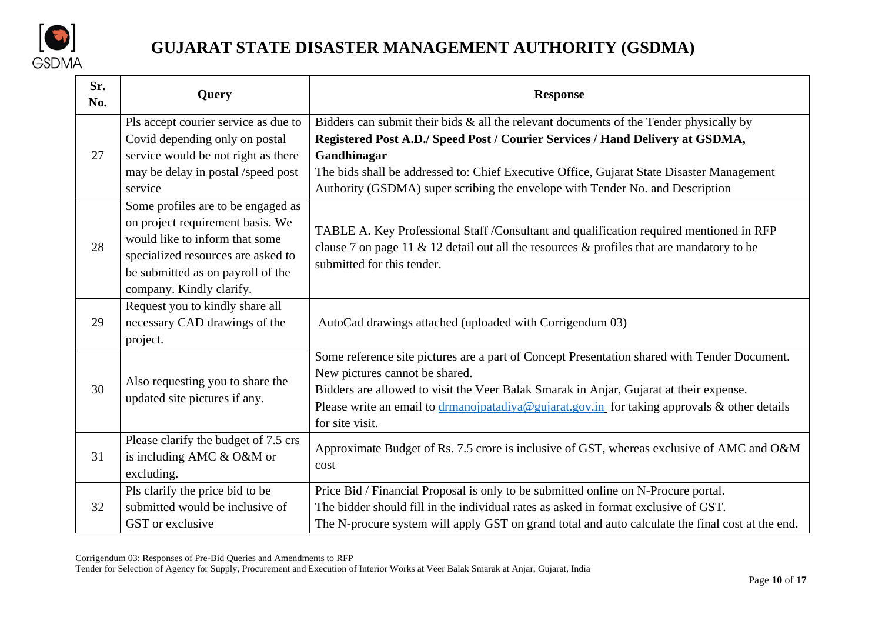

| Sr.<br>No. | Query                                                                                                                                                                                                           | <b>Response</b>                                                                                                                                                                                                                                                                                                                                                         |  |
|------------|-----------------------------------------------------------------------------------------------------------------------------------------------------------------------------------------------------------------|-------------------------------------------------------------------------------------------------------------------------------------------------------------------------------------------------------------------------------------------------------------------------------------------------------------------------------------------------------------------------|--|
| 27         | Pls accept courier service as due to<br>Covid depending only on postal<br>service would be not right as there<br>may be delay in postal /speed post<br>service                                                  | Bidders can submit their bids $\&$ all the relevant documents of the Tender physically by<br>Registered Post A.D./ Speed Post / Courier Services / Hand Delivery at GSDMA,<br>Gandhinagar<br>The bids shall be addressed to: Chief Executive Office, Gujarat State Disaster Management<br>Authority (GSDMA) super scribing the envelope with Tender No. and Description |  |
| 28         | Some profiles are to be engaged as<br>on project requirement basis. We<br>would like to inform that some<br>specialized resources are asked to<br>be submitted as on payroll of the<br>company. Kindly clarify. | TABLE A. Key Professional Staff / Consultant and qualification required mentioned in RFP<br>clause 7 on page 11 & 12 detail out all the resources $\&$ profiles that are mandatory to be<br>submitted for this tender.                                                                                                                                                  |  |
| 29         | Request you to kindly share all<br>necessary CAD drawings of the<br>project.                                                                                                                                    | AutoCad drawings attached (uploaded with Corrigendum 03)                                                                                                                                                                                                                                                                                                                |  |
| 30         | Also requesting you to share the<br>updated site pictures if any.                                                                                                                                               | Some reference site pictures are a part of Concept Presentation shared with Tender Document.<br>New pictures cannot be shared.<br>Bidders are allowed to visit the Veer Balak Smarak in Anjar, Gujarat at their expense.<br>Please write an email to drmanojpatadiya@gujarat.gov.in for taking approvals & other details<br>for site visit.                             |  |
| 31         | Please clarify the budget of 7.5 crs<br>is including AMC & O&M or<br>excluding.                                                                                                                                 | Approximate Budget of Rs. 7.5 crore is inclusive of GST, whereas exclusive of AMC and O&M<br>cost                                                                                                                                                                                                                                                                       |  |
| 32         | Pls clarify the price bid to be<br>submitted would be inclusive of<br>GST or exclusive                                                                                                                          | Price Bid / Financial Proposal is only to be submitted online on N-Procure portal.<br>The bidder should fill in the individual rates as asked in format exclusive of GST.<br>The N-procure system will apply GST on grand total and auto calculate the final cost at the end.                                                                                           |  |

Corrigendum 03: Responses of Pre-Bid Queries and Amendments to RFP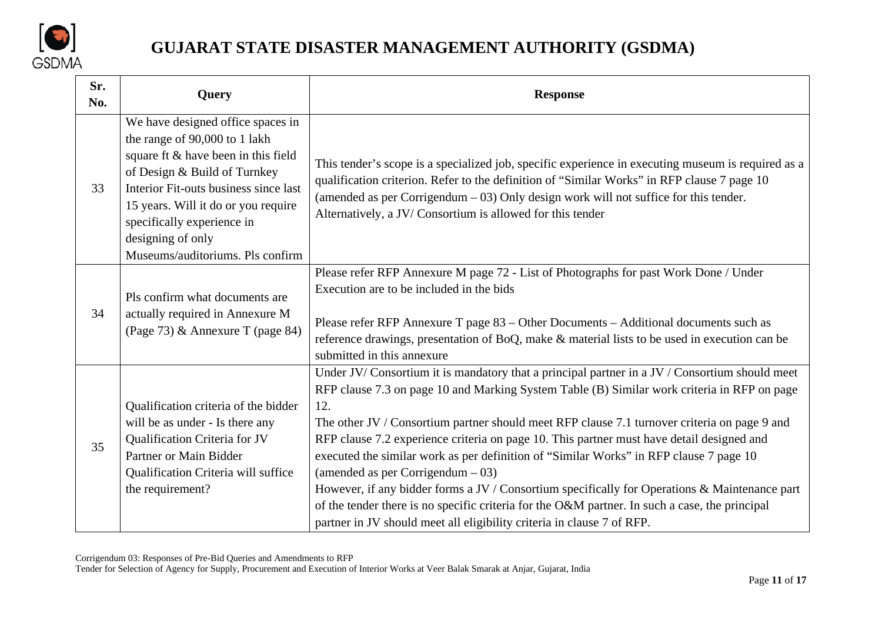

| Sr.<br>No. | Query                                                                                                                                                                                                                                                                                                            | <b>Response</b>                                                                                                                                                                                                                                                                                                                                                                                                                                                                                                                                                                                                                                                                                                                                                                                                |
|------------|------------------------------------------------------------------------------------------------------------------------------------------------------------------------------------------------------------------------------------------------------------------------------------------------------------------|----------------------------------------------------------------------------------------------------------------------------------------------------------------------------------------------------------------------------------------------------------------------------------------------------------------------------------------------------------------------------------------------------------------------------------------------------------------------------------------------------------------------------------------------------------------------------------------------------------------------------------------------------------------------------------------------------------------------------------------------------------------------------------------------------------------|
| 33         | We have designed office spaces in<br>the range of 90,000 to 1 lakh<br>square ft & have been in this field<br>of Design & Build of Turnkey<br>Interior Fit-outs business since last<br>15 years. Will it do or you require<br>specifically experience in<br>designing of only<br>Museums/auditoriums. Pls confirm | This tender's scope is a specialized job, specific experience in executing museum is required as a<br>qualification criterion. Refer to the definition of "Similar Works" in RFP clause 7 page 10<br>(amended as per Corrigendum $-03$ ) Only design work will not suffice for this tender.<br>Alternatively, a JV/Consortium is allowed for this tender                                                                                                                                                                                                                                                                                                                                                                                                                                                       |
| 34         | Pls confirm what documents are<br>actually required in Annexure M<br>(Page 73) & Annexure T (page 84)                                                                                                                                                                                                            | Please refer RFP Annexure M page 72 - List of Photographs for past Work Done / Under<br>Execution are to be included in the bids<br>Please refer RFP Annexure T page 83 - Other Documents - Additional documents such as<br>reference drawings, presentation of BoQ, make & material lists to be used in execution can be<br>submitted in this annexure                                                                                                                                                                                                                                                                                                                                                                                                                                                        |
| 35         | Qualification criteria of the bidder<br>will be as under - Is there any<br>Qualification Criteria for JV<br>Partner or Main Bidder<br>Qualification Criteria will suffice<br>the requirement?                                                                                                                    | Under JV/Consortium it is mandatory that a principal partner in a JV / Consortium should meet<br>RFP clause 7.3 on page 10 and Marking System Table (B) Similar work criteria in RFP on page<br>12.<br>The other JV / Consortium partner should meet RFP clause 7.1 turnover criteria on page 9 and<br>RFP clause 7.2 experience criteria on page 10. This partner must have detail designed and<br>executed the similar work as per definition of "Similar Works" in RFP clause 7 page 10<br>(amended as per Corrigendum $-03$ )<br>However, if any bidder forms a JV / Consortium specifically for Operations & Maintenance part<br>of the tender there is no specific criteria for the O&M partner. In such a case, the principal<br>partner in JV should meet all eligibility criteria in clause 7 of RFP. |

Corrigendum 03: Responses of Pre-Bid Queries and Amendments to RFP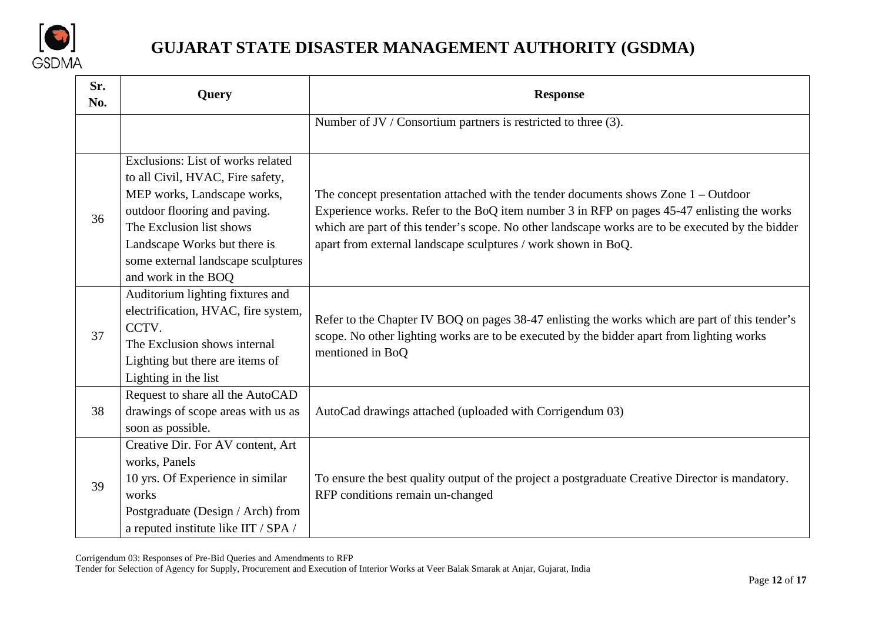

| Sr.<br>No. | Query                                                                                                                                                                                                                                                         | <b>Response</b>                                                                                                                                                                                                                                                                                                                                         |
|------------|---------------------------------------------------------------------------------------------------------------------------------------------------------------------------------------------------------------------------------------------------------------|---------------------------------------------------------------------------------------------------------------------------------------------------------------------------------------------------------------------------------------------------------------------------------------------------------------------------------------------------------|
|            |                                                                                                                                                                                                                                                               | Number of JV / Consortium partners is restricted to three (3).                                                                                                                                                                                                                                                                                          |
| 36         | Exclusions: List of works related<br>to all Civil, HVAC, Fire safety,<br>MEP works, Landscape works,<br>outdoor flooring and paving.<br>The Exclusion list shows<br>Landscape Works but there is<br>some external landscape sculptures<br>and work in the BOQ | The concept presentation attached with the tender documents shows Zone $1 - Outdoor$<br>Experience works. Refer to the BoQ item number 3 in RFP on pages 45-47 enlisting the works<br>which are part of this tender's scope. No other landscape works are to be executed by the bidder<br>apart from external landscape sculptures / work shown in BoQ. |
| 37         | Auditorium lighting fixtures and<br>electrification, HVAC, fire system,<br>CCTV.<br>The Exclusion shows internal<br>Lighting but there are items of<br>Lighting in the list                                                                                   | Refer to the Chapter IV BOQ on pages 38-47 enlisting the works which are part of this tender's<br>scope. No other lighting works are to be executed by the bidder apart from lighting works<br>mentioned in BoQ                                                                                                                                         |
| 38         | Request to share all the AutoCAD<br>drawings of scope areas with us as<br>soon as possible.                                                                                                                                                                   | AutoCad drawings attached (uploaded with Corrigendum 03)                                                                                                                                                                                                                                                                                                |
| 39         | Creative Dir. For AV content, Art<br>works, Panels<br>10 yrs. Of Experience in similar<br>works<br>Postgraduate (Design / Arch) from<br>a reputed institute like IIT / SPA /                                                                                  | To ensure the best quality output of the project a postgraduate Creative Director is mandatory.<br>RFP conditions remain un-changed                                                                                                                                                                                                                     |

Corrigendum 03: Responses of Pre-Bid Queries and Amendments to RFP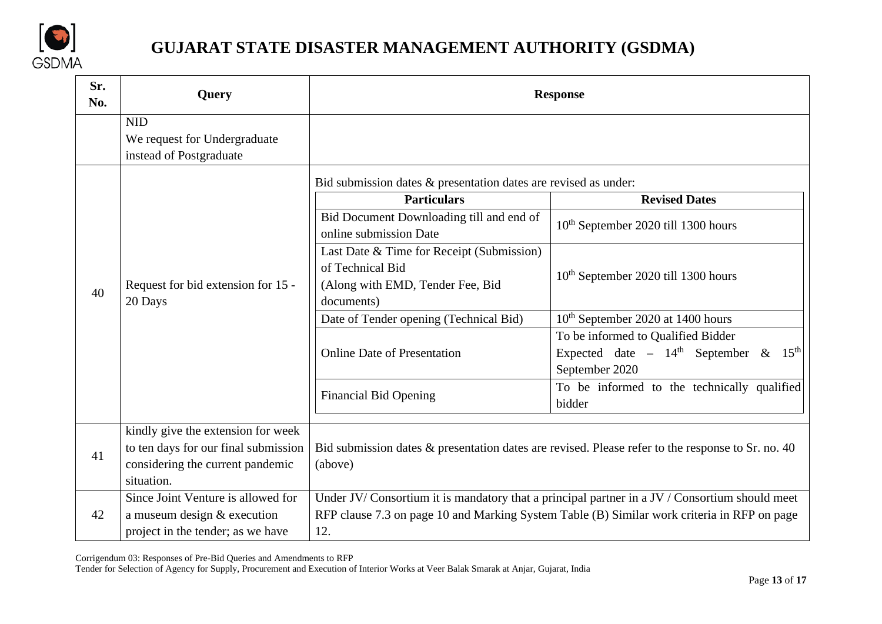

| Sr.<br>No. | Query                                                                                                                        | <b>Response</b>                                                                                                                                                                                     |                                                                                                                       |  |
|------------|------------------------------------------------------------------------------------------------------------------------------|-----------------------------------------------------------------------------------------------------------------------------------------------------------------------------------------------------|-----------------------------------------------------------------------------------------------------------------------|--|
|            | <b>NID</b><br>We request for Undergraduate<br>instead of Postgraduate                                                        |                                                                                                                                                                                                     |                                                                                                                       |  |
|            | Request for bid extension for 15 -<br>20 Days                                                                                | Bid submission dates & presentation dates are revised as under:<br><b>Particulars</b><br><b>Revised Dates</b>                                                                                       |                                                                                                                       |  |
|            |                                                                                                                              | Bid Document Downloading till and end of<br>online submission Date                                                                                                                                  | 10 <sup>th</sup> September 2020 till 1300 hours                                                                       |  |
| 40         |                                                                                                                              | Last Date & Time for Receipt (Submission)<br>of Technical Bid<br>(Along with EMD, Tender Fee, Bid<br>documents)                                                                                     | 10 <sup>th</sup> September 2020 till 1300 hours                                                                       |  |
|            |                                                                                                                              | Date of Tender opening (Technical Bid)                                                                                                                                                              | 10 <sup>th</sup> September 2020 at 1400 hours                                                                         |  |
|            |                                                                                                                              | <b>Online Date of Presentation</b>                                                                                                                                                                  | To be informed to Qualified Bidder<br>Expected date - $14^{\text{th}}$ September & $15^{\text{th}}$<br>September 2020 |  |
|            |                                                                                                                              | <b>Financial Bid Opening</b>                                                                                                                                                                        | To be informed to the technically qualified<br>bidder                                                                 |  |
| 41         | kindly give the extension for week<br>to ten days for our final submission<br>considering the current pandemic<br>situation. | Bid submission dates & presentation dates are revised. Please refer to the response to Sr. no. 40<br>(above)                                                                                        |                                                                                                                       |  |
| 42         | Since Joint Venture is allowed for<br>a museum design & execution<br>project in the tender; as we have                       | Under JV/Consortium it is mandatory that a principal partner in a JV / Consortium should meet<br>RFP clause 7.3 on page 10 and Marking System Table (B) Similar work criteria in RFP on page<br>12. |                                                                                                                       |  |

Corrigendum 03: Responses of Pre-Bid Queries and Amendments to RFP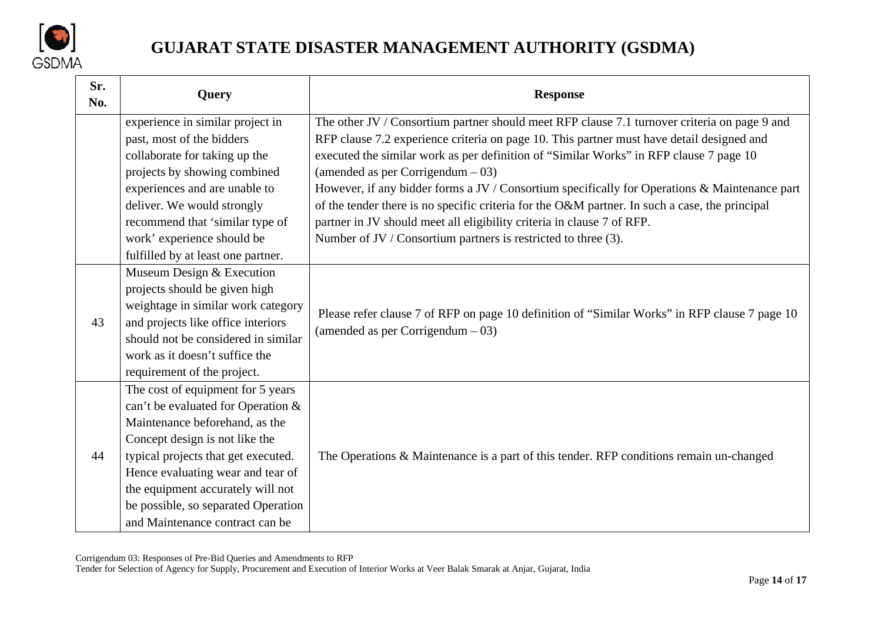

| Sr.<br>No. | Query                               | <b>Response</b>                                                                                |  |
|------------|-------------------------------------|------------------------------------------------------------------------------------------------|--|
|            | experience in similar project in    | The other JV / Consortium partner should meet RFP clause 7.1 turnover criteria on page 9 and   |  |
|            | past, most of the bidders           | RFP clause 7.2 experience criteria on page 10. This partner must have detail designed and      |  |
|            | collaborate for taking up the       | executed the similar work as per definition of "Similar Works" in RFP clause 7 page 10         |  |
|            | projects by showing combined        | (amended as per Corrigendum $-03$ )                                                            |  |
|            | experiences and are unable to       | However, if any bidder forms a JV / Consortium specifically for Operations & Maintenance part  |  |
|            | deliver. We would strongly          | of the tender there is no specific criteria for the O&M partner. In such a case, the principal |  |
|            | recommend that 'similar type of     | partner in JV should meet all eligibility criteria in clause 7 of RFP.                         |  |
|            | work' experience should be          | Number of JV / Consortium partners is restricted to three (3).                                 |  |
|            | fulfilled by at least one partner.  |                                                                                                |  |
|            | Museum Design & Execution           |                                                                                                |  |
|            | projects should be given high       |                                                                                                |  |
|            | weightage in similar work category  | Please refer clause 7 of RFP on page 10 definition of "Similar Works" in RFP clause 7 page 10  |  |
| 43         | and projects like office interiors  | (amended as per Corrigendum $-03$ )                                                            |  |
|            | should not be considered in similar |                                                                                                |  |
|            | work as it doesn't suffice the      |                                                                                                |  |
|            | requirement of the project.         |                                                                                                |  |
|            | The cost of equipment for 5 years   |                                                                                                |  |
|            | can't be evaluated for Operation &  |                                                                                                |  |
|            | Maintenance beforehand, as the      |                                                                                                |  |
|            | Concept design is not like the      |                                                                                                |  |
| 44         | typical projects that get executed. | The Operations & Maintenance is a part of this tender. RFP conditions remain un-changed        |  |
|            | Hence evaluating wear and tear of   |                                                                                                |  |
|            | the equipment accurately will not   |                                                                                                |  |
|            | be possible, so separated Operation |                                                                                                |  |
|            | and Maintenance contract can be     |                                                                                                |  |

Corrigendum 03: Responses of Pre-Bid Queries and Amendments to RFP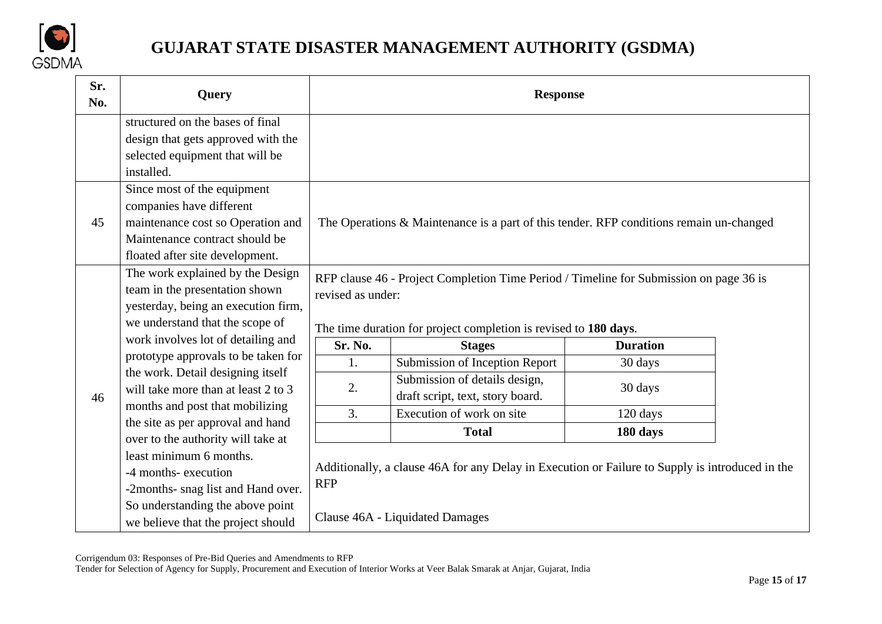

| Sr.<br>No. | Query                                                                                                                                                                                                |                                                                                                                                                                                                                                | <b>Response</b>                                                                                 |          |  |
|------------|------------------------------------------------------------------------------------------------------------------------------------------------------------------------------------------------------|--------------------------------------------------------------------------------------------------------------------------------------------------------------------------------------------------------------------------------|-------------------------------------------------------------------------------------------------|----------|--|
|            | structured on the bases of final<br>design that gets approved with the<br>selected equipment that will be<br>installed.                                                                              |                                                                                                                                                                                                                                |                                                                                                 |          |  |
| 45         | Since most of the equipment<br>companies have different<br>maintenance cost so Operation and<br>Maintenance contract should be<br>floated after site development.                                    |                                                                                                                                                                                                                                | The Operations & Maintenance is a part of this tender. RFP conditions remain un-changed         |          |  |
| 46         | The work explained by the Design<br>team in the presentation shown<br>yesterday, being an execution firm,<br>we understand that the scope of<br>work involves lot of detailing and                   | RFP clause 46 - Project Completion Time Period / Timeline for Submission on page 36 is<br>revised as under:<br>The time duration for project completion is revised to 180 days.<br><b>Duration</b><br>Sr. No.<br><b>Stages</b> |                                                                                                 |          |  |
|            | prototype approvals to be taken for                                                                                                                                                                  | 1.                                                                                                                                                                                                                             | Submission of Inception Report                                                                  | 30 days  |  |
|            | the work. Detail designing itself<br>will take more than at least 2 to 3                                                                                                                             | 2.                                                                                                                                                                                                                             | Submission of details design,<br>draft script, text, story board.                               | 30 days  |  |
|            | months and post that mobilizing                                                                                                                                                                      | 3.                                                                                                                                                                                                                             | Execution of work on site                                                                       | 120 days |  |
|            | the site as per approval and hand<br>over to the authority will take at<br>least minimum 6 months.<br>-4 months- execution<br>-2months- snag list and Hand over.<br>So understanding the above point |                                                                                                                                                                                                                                | <b>Total</b>                                                                                    | 180 days |  |
|            |                                                                                                                                                                                                      | <b>RFP</b>                                                                                                                                                                                                                     | Additionally, a clause 46A for any Delay in Execution or Failure to Supply is introduced in the |          |  |
|            | we believe that the project should                                                                                                                                                                   |                                                                                                                                                                                                                                | Clause 46A - Liquidated Damages                                                                 |          |  |

Corrigendum 03: Responses of Pre-Bid Queries and Amendments to RFP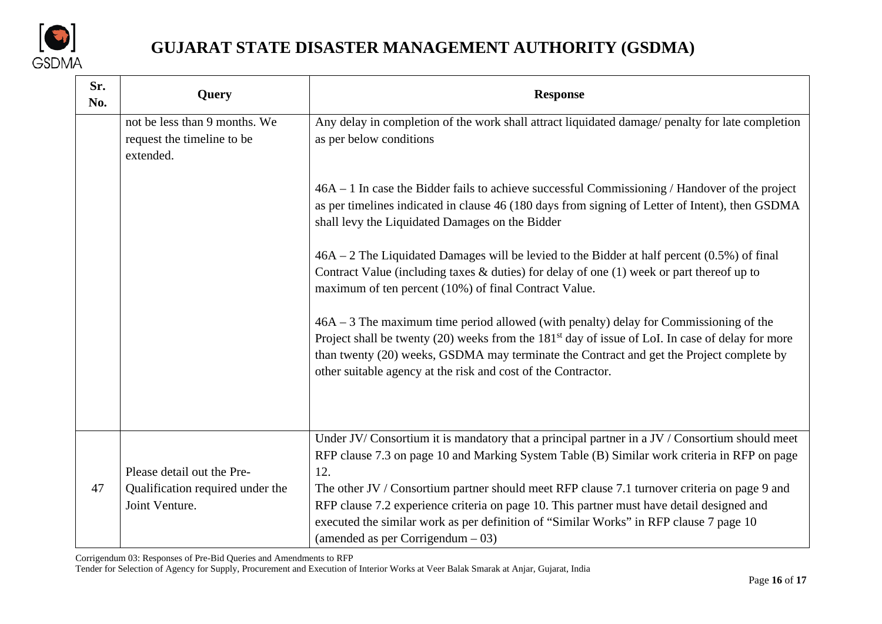

| Sr.<br>No. | Query                                                                            | <b>Response</b>                                                                                                                                                                                                                                                                                                                                                    |
|------------|----------------------------------------------------------------------------------|--------------------------------------------------------------------------------------------------------------------------------------------------------------------------------------------------------------------------------------------------------------------------------------------------------------------------------------------------------------------|
|            | not be less than 9 months. We<br>request the timeline to be<br>extended.         | Any delay in completion of the work shall attract liquidated damage/ penalty for late completion<br>as per below conditions                                                                                                                                                                                                                                        |
|            |                                                                                  | $46A - 1$ In case the Bidder fails to achieve successful Commissioning / Handover of the project<br>as per timelines indicated in clause 46 (180 days from signing of Letter of Intent), then GSDMA<br>shall levy the Liquidated Damages on the Bidder                                                                                                             |
|            |                                                                                  | $46A - 2$ The Liquidated Damages will be levied to the Bidder at half percent (0.5%) of final<br>Contract Value (including taxes $\&$ duties) for delay of one (1) week or part thereof up to<br>maximum of ten percent (10%) of final Contract Value.                                                                                                             |
|            |                                                                                  | 46A – 3 The maximum time period allowed (with penalty) delay for Commissioning of the<br>Project shall be twenty (20) weeks from the 181 <sup>st</sup> day of issue of LoI. In case of delay for more<br>than twenty (20) weeks, GSDMA may terminate the Contract and get the Project complete by<br>other suitable agency at the risk and cost of the Contractor. |
|            |                                                                                  | Under JV/Consortium it is mandatory that a principal partner in a JV / Consortium should meet<br>RFP clause 7.3 on page 10 and Marking System Table (B) Similar work criteria in RFP on page                                                                                                                                                                       |
| 47         | Please detail out the Pre-<br>Qualification required under the<br>Joint Venture. | 12.<br>The other JV / Consortium partner should meet RFP clause 7.1 turnover criteria on page 9 and<br>RFP clause 7.2 experience criteria on page 10. This partner must have detail designed and<br>executed the similar work as per definition of "Similar Works" in RFP clause 7 page 10<br>(amended as per Corrigendum $-03$ )                                  |

Corrigendum 03: Responses of Pre-Bid Queries and Amendments to RFP